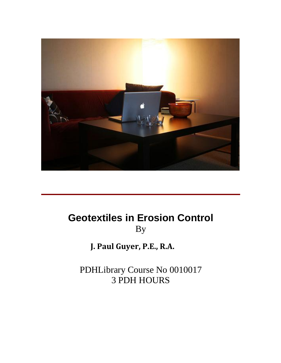

# **Geotextiles in Erosion Control J. Paul Guyer, P.E., R.A.** By

PDHLibrary Course No 0010017 3 PDH HOURS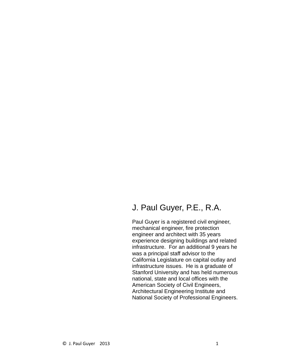## J. Paul Guyer, P.E., R.A.

Paul Guyer is a registered civil engineer, mechanical engineer, fire protection engineer and architect with 35 years experience designing buildings and related infrastructure. For an additional 9 years he was a principal staff advisor to the California Legislature on capital outlay and infrastructure issues. He is a graduate of Stanford University and has held numerous national, state and local offices with the American Society of Civil Engineers, Architectural Engineering Institute and National Society of Professional Engineers.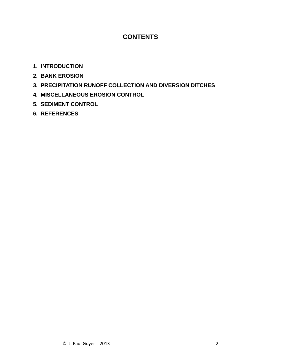#### **CONTENTS**

- **1. INTRODUCTION**
- **2. BANK EROSION**
- **3. PRECIPITATION RUNOFF COLLECTION AND DIVERSION DITCHES**
- **4. MISCELLANEOUS EROSION CONTROL**
- **5. SEDIMENT CONTROL**
- **6. REFERENCES**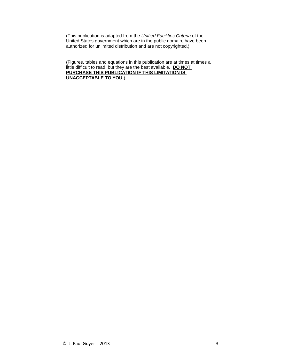(This publication is adapted from the Unified Facilities Criteria of the United States government which are in the public domain, have been authorized for unlimited distribution and are not copyrighted.)

(Figures, tables and equations in this publication are at times at times a little difficult to read, but they are the best available. **DO NOT PURCHASE THIS PUBLICATION IF THIS LIMITATION IS UNACCEPTABLE TO YOU.**)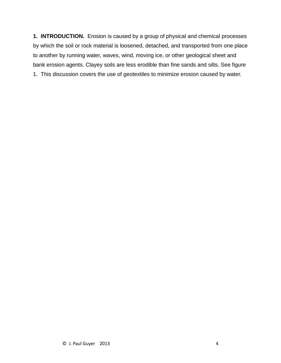**1. INTRODUCTION.** Erosion is caused by a group of physical and chemical processes by which the soil or rock material is loosened, detached, and transported from one place to another by running water, waves, wind, moving ice, or other geological sheet and bank erosion agents. Clayey soils are less erodible than fine sands and silts. See figure 1. This discussion covers the use of geotextiles to minimize erosion caused by water.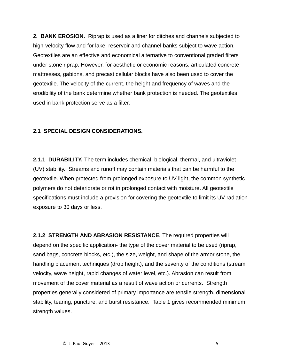**2. BANK EROSION.** Riprap is used as a liner for ditches and channels subjected to high-velocity flow and for lake, reservoir and channel banks subject to wave action. Geotextiles are an effective and economical alternative to conventional graded filters under stone riprap. However, for aesthetic or economic reasons, articulated concrete mattresses, gabions, and precast cellular blocks have also been used to cover the geotextile. The velocity of the current, the height and frequency of waves and the erodibility of the bank determine whether bank protection is needed. The geotextiles used in bank protection serve as a filter.

#### **2.1 SPECIAL DESIGN CONSIDERATIONS.**

**2.1.1 DURABILITY.** The term includes chemical, biological, thermal, and ultraviolet (UV) stability. Streams and runoff may contain materials that can be harmful to the geotextile. When protected from prolonged exposure to UV light, the common synthetic polymers do not deteriorate or rot in prolonged contact with moisture. All geotextile specifications must include a provision for covering the geotextile to limit its UV radiation exposure to 30 days or less.

**2.1.2 STRENGTH AND ABRASION RESISTANCE.** The required properties will depend on the specific application- the type of the cover material to be used (riprap, sand bags, concrete blocks, etc.), the size, weight, and shape of the armor stone, the handling placement techniques (drop height), and the severity of the conditions (stream velocity, wave height, rapid changes of water level, etc.). Abrasion can result from movement of the cover material as a result of wave action or currents. Strength properties generally considered of primary importance are tensile strength, dimensional stability, tearing, puncture, and burst resistance. Table 1 gives recommended minimum ©strength values. g, puncture, and burst resistance. Table T gives recommende<br>3.<br>J. Paul Guver 2013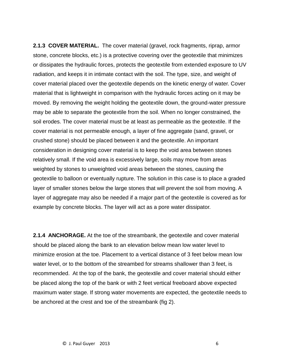**2.1.3 COVER MATERIAL.** The cover material (gravel, rock fragments, riprap, armor stone, concrete blocks, etc.) is a protective covering over the geotextile that minimizes or dissipates the hydraulic forces, protects the geotextile from extended exposure to UV radiation, and keeps it in intimate contact with the soil. The type, size, and weight of cover material placed over the geotextile depends on the kinetic energy of water. Cover material that is lightweight in comparison with the hydraulic forces acting on it may be moved. By removing the weight holding the geotextile down, the ground-water pressure may be able to separate the geotextile from the soil.When no longer constrained, the soil erodes. The cover material must be at least as permeable as the geotextile. If the cover material is not permeable enough, a layer of fine aggregate (sand, gravel, or crushed stone) should be placed between it and the geotextile. An important consideration in designing cover material is to keep the void area between stones relatively small. If the void area is excessively large, soils may move from areas weighted by stones to unweighted void areas between the stones, causing the geotextile to balloon or eventually rupture. The solution in this case is to place a graded layer of smaller stones below the large stones that will prevent the soil from moving. A layer of aggregate may also be needed if a major part of the geotextile is covered as for example by concrete blocks. The layer will act as a pore water dissipator.

**2.1.4 ANCHORAGE.** At the toe of the streambank, the geotextile and cover material should be placed along the bank to an elevation below mean low water level to minimize erosion at the toe. Placement to a vertical distance of 3 feet below mean low water level, or to the bottom of the streambed for streams shallower than 3 feet, is recommended. At the top of the bank, the geotextile and cover material should either be placed along the top of the bank or with 2 feet vertical freeboard above expected maximum water stage. If strong water movements are expected, the geotextile needs to be anchored at the crest and toe of the streambank (fig 2). The crest and toe of the streambank (ng 2).<br> $\frac{1}{2}$ <br>J. Paul Guver 2013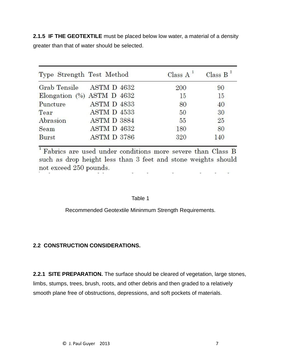**2.1.5 IF THE GEOTEXTILE** must be placed below low water, a material of a density greater than that of water should be selected.

| Type Strength Test Method |                               | Class $A^1$ | Class $B^2$ |
|---------------------------|-------------------------------|-------------|-------------|
|                           | Grab Tensile ASTM D 4632      | 200         | 90          |
|                           | Elongation $(\%)$ ASTM D 4632 | 15          | 15          |
| Puncture                  | ASTM D 4833                   | 80          | 40          |
| Tear                      | ASTM D 4533                   | 50          | 30          |
| Abrasion                  | ASTM D 3884                   | 55          | 25          |
| Seam                      | ASTM D 4632                   | 180         | 80          |
| <b>Burst</b>              | ASTM D 3786                   | 320         | 140         |

 $\mathbf{1}$ Fabrics are used under conditions more severe than Class B such as drop height less than 3 feet and stone weights should not exceed 250 pounds.  $\label{eq:1.1} \mathcal{E}(\Delta \mathbf{X}) = \mathcal{E}(\Delta \mathbf{X}) = \mathcal{E}(\Delta \mathbf{X}) = \mathcal{E}(\Delta \mathbf{X})$  $\omega$  , and  $\omega$  , and  $\omega$ 

#### Table 1

Recommended Geotextile Mininmum Strength Requirements.

#### **2.2 CONSTRUCTION CONSIDERATIONS.**

**2.2.1 SITE PREPARATION.** The surface should be cleared of vegetation, large stones, limbs, stumps, trees, brush, roots, and other debris and then graded to a relatively smooth plane free of obstructions, depressions, and soft pockets of materials.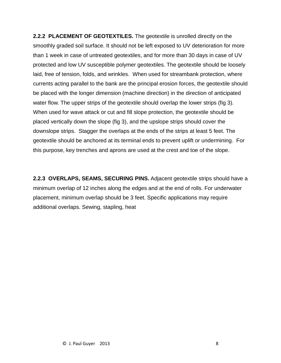**2.2.2 PLACEMENT OF GEOTEXTILES.** The geotextile is unrolled directly on the smoothly graded soil surface. It should not be left exposed to UV deterioration for more than 1 week in case of untreated geotextiles, and for more than 30 days in case of UV protected and low UV susceptible polymer geotextiles. The geotextile should be loosely laid, free of tension, folds, and wrinkles. When used for streambank protection, where currents acting parallel to the bank are the principal erosion forces, the geotextile should be placed with the longer dimension (machine direction) in the direction of anticipated water flow. The upper strips of the geotextile should overlap the lower strips (fig 3). When used for wave attack or cut and fill slope protection, the geotextile should be placed vertically down the slope (fig 3), and the upslope strips should cover the downslope strips. Stagger the overlaps at the ends of the strips at least 5 feet. The geotextile should be anchored at its terminal ends to prevent uplift or undermining. For this purpose, key trenches and aprons are used at the crest and toe of the slope.

**2.2.3 OVERLAPS, SEAMS, SECURING PINS.** Adjacent geotextile strips should have a minimum overlap of 12 inches along the edges and at the end of rolls. For underwater placement, minimum overlap should be 3 feet. Specific applications may require additional overlaps. Sewing, stapling, heat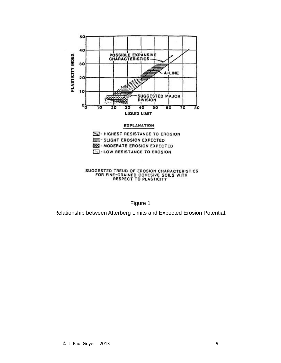



## SUGGESTED TREND OF EROSION CHARACTERISTICS<br>FOR FINE-GRAINED COHESIVE SOILS WITH<br>RESPECT TO PLASTICITY

#### Figure 1

Relationship between Atterberg Limits and Expected Erosion Potential.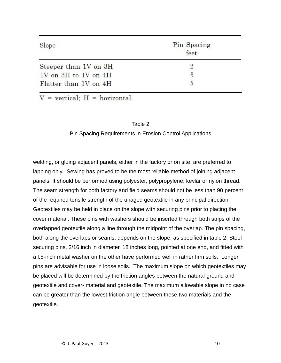| Slope                 | Pin Spacing<br>feet |  |
|-----------------------|---------------------|--|
| Steeper than 1V on 3H |                     |  |
| 1V on 3H to 1V on 4H  | 3                   |  |
| Flatter than 1V on 4H | 5                   |  |

 $V =$  vertical;  $H =$  horizontal.

#### Table 2

Pin Spacing Requirements in Erosion Control Applications

welding, or gluing adjacent panels, either in the factory or on site, are preferred to lapping only. Sewing has proved to be the most reliable method of joining adjacent panels. It should be performed using polyester, polypropylene, kevlar or nylon thread. The seam strength for both factory and field seams should not be less than 90 percent of the required tensile strength of the unaged geotextile in any principal direction. Geotextiles may be held in place on the slope with securing pins prior to placing the cover material. These pins with washers should be inserted through both strips of the overlapped geotextile along a line through the midpoint of the overlap. The pin spacing, both along the overlaps or seams, depends on the slope, as specified in table 2. Steel securing pins, 3/16 inch in diameter, 18 inches long, pointed at one end, and fitted with a l.5-inch metal washer on the other have performed well in rather firm soils. Longer pins are advisable for use in loose soils. The maximum slope on which geotextiles may be placed will be determined by the friction angles between the natural-ground and geotextile and cover- material and geotextile. The maximum allowable slope in no case can be greater than the lowest friction angle between these two materials and the geotextile. J. Paul Guyer <sup>2013</sup> <sup>10</sup>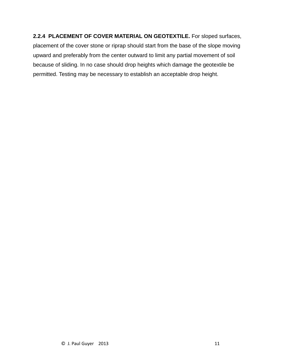**2.2.4 PLACEMENT OF COVER MATERIAL ON GEOTEXTILE.** For sloped surfaces, placement of the cover stone or riprap should start from the base of the slope moving upward and preferably from the center outward to limit any partial movement of soil because of sliding. In no case should drop heights which damage the geotextile be permitted. Testing may be necessary to establish an acceptable drop height.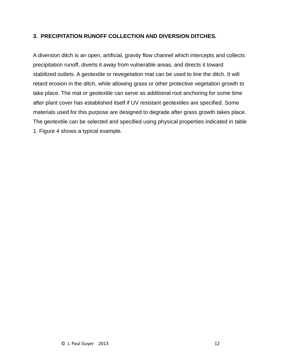#### **3. PRECIPITATION RUNOFF COLLECTION AND DIVERSION DITCHES.**

A diversion ditch is an open, artificial, gravity flow channel which intercepts and collects precipitation runoff, diverts it away from vulnerable areas, and directs it toward stabilized outlets. A geotextile or revegetation mat can be used to line the ditch. It will retard erosion in the ditch, while allowing grass or other protective vegetation growth to take place. The mat or geotextile can serve as additional root anchoring for some time after plant cover has established itself if UV resistant geotextiles are specified. Some materials used for this purpose are designed to degrade after grass growth takes place. The geotextile can be selected and specified using physical properties indicated in table 1. Figure 4 shows a typical example.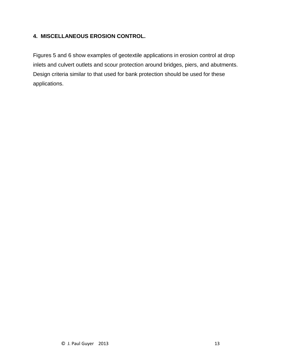#### **4. MISCELLANEOUS EROSION CONTROL.**

Figures 5 and 6 show examples of geotextile applications in erosion control at drop inlets and culvert outlets and scour protection around bridges, piers, and abutments. Design criteria similar to that used for bank protection should be used for these applications.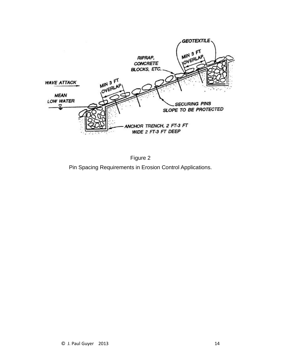

Figure 2 Pin Spacing Requirements in Erosion Control Applications.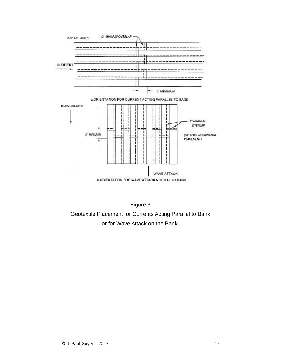

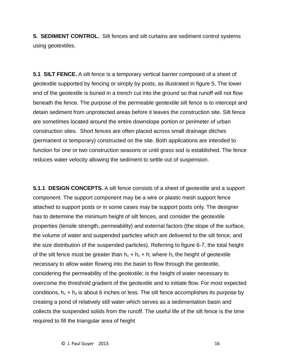**5. SEDIMENT CONTROL.** Silt fences and silt curtains are sediment control systems using geotextiles.

**5.1 SILT FENCE.** A silt fence is a temporary vertical barrier composed of a sheet of geotextile supported by fencing or simply by posts, as illustrated in figure 5. The lower end of the geotextile is buried in a trench cut into the ground so that runoff will not flow beneath the fence. The purpose of the permeable geotextile silt fence is to intercept and detain sediment from unprotected areas before it leaves the construction site. Silt fence are sometimes located around the entire downslope portion or perimeter of urban construction sites. Short fences are often placed across small drainage ditches (permanent or temporary) constructed on the site. Both applications are intended to function for one or two construction seasons or until grass sod is established. The fence reduces water velocity allowing the sediment to settle out of suspension.

**5.1.1 DESIGN CONCEPTS.** A silt fence consists of a sheet of geotextile and a support component. The support component may be a wire or plastic mesh support fence attached to support posts or in some cases may be support posts only. The designer has to determine the minimum height of silt fences, and consider the geotextile properties (tensile strength, permeability) and external factors (the slope of the surface, the volume of water and suspended particles which are delivered to the silt fence, and the size distribution of the suspended particles). Referring to figure 6-7, the total height of the silt fence must be greater than  $h_1 + h_2 + h$ ; where  $h_1$  the height of geotextile necessary to allow water flowing into the basin to flow through the geotextile, considering the permeability of the geotextile; is the height of water necessary to overcome the threshold gradient of the geotextile and to initiate flow. For most expected conditions,  $h_1 + h_2$  is about 6 inches or less. The silt fence accomplishes its purpose by creating a pond of relatively still water which serves as a sedimentation basin and ©collects the suspended solids from the runoff. The useful life of the silt fence is the time required to fill the triangular area of height It is a seamlentation basic of relatively still water which serves as a seamlentation basic<br>spended solids from the runoff. The useful life of the silt fence<br>the triangular area of height<br>J. Paul Guver 2013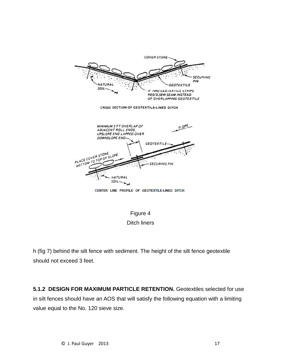

CENTER LINE PROFILE OF GEOTEXTILE-LINED DITCH



h (fig 7) behind the silt fence with sediment. The height of the silt fence geotextile should not exceed 3 feet.

**5.1.2 DESIGN FOR MAXIMUM PARTICLE RETENTION.** Geotextiles selected for use in silt fences should have an AOS that will satisfy the following equation with a limiting value equal to the No. 120 sieve size. ©the No. 120 sieve size.<br>
J. Paul Guver 2013<br>
17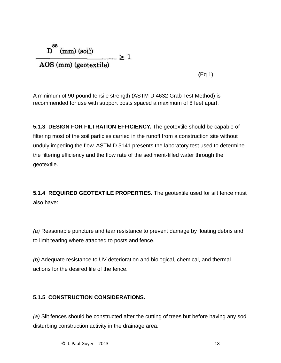$$
\frac{D^{85} \text{ (mm) (soil)}}{\text{AOS (mm) (geotextile)}} \ge 1
$$

**(**Eq 1)

A minimum of 90-pound tensile strength (ASTM D 4632 Grab Test Method) is recommended for use with support posts spaced a maximum of 8feet apart.

**5.1.3 DESIGN FOR FILTRATION EFFICIENCY.** The geotextile should be capable of filtering most of the soil particles carried in the runoff from a construction site without unduly impeding the flow. ASTM D 5141 presents the laboratory test used to determine the filtering efficiency and the flow rate of the sediment-filled water through the geotextile.

**5.1.4 REQUIRED GEOTEXTILE PROPERTIES.** The geotextile used for silt fence must also have:

(a) Reasonable puncture and tear resistance to prevent damage by floating debris and to limit tearing where attached to posts and fence.

(b) Adequate resistance to UV deterioration and biological, chemical, and thermal actions for the desired life of the fence.

#### **5.1.5 CONSTRUCTION CONSIDERATIONS.**

(a) Silt fences should be constructed after the cutting of trees but before having any sod (a) Silt fences should be constructed after the cutting of trees but before havior disturbing construction activity in the drainage area.<br>
© J. Paul Guyer 2013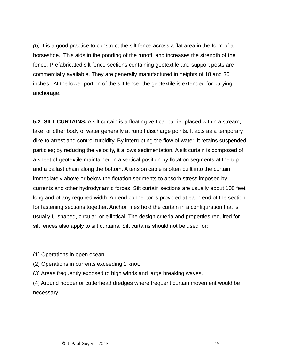$(b)$  It is a good practice to construct the silt fence across a flat area in the form of a horseshoe. This aids in the ponding of the runoff, and increases the strength of the fence. Prefabricated silt fence sections containing geotextile and support posts are commercially available. They are generally manufactured in heights of 18 and 36 inches. At the lower portion of the silt fence, the geotextile is extended for burying anchorage.

**5.2 SILT CURTAINS.** A silt curtain is a floating vertical barrier placed within a stream, lake, or other body of water generally at runoff discharge points. It acts as a temporary dike to arrest and control turbidity. By interrupting the flow of water, it retains suspended particles; by reducing the velocity, it allows sedimentation. A silt curtain is composed of a sheet of geotextile maintained in a vertical position by flotation segments at the top and a ballast chain along the bottom. A tension cable is often built into the curtain immediately above or below the flotation segments to absorb stress imposed by currents and other hydrodynamic forces. Silt curtain sections are usually about 100 feet long and of any required width. An end connector is provided at each end of the section for fastening sections together. Anchor lines hold the curtain in a configuration that is usually U-shaped, circular, or elliptical. The design criteria and properties required for silt fences also apply to silt curtains. Silt curtains should not be used for:

(1) Operations in open ocean.

(2) Operations in currents exceeding 1 knot.

(3) Areas frequently exposed to high winds and large breaking waves.

(4) Around hopper or cutterhead dredges where frequent curtain movement would be necessary.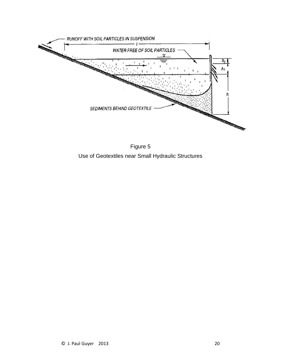

Figure 5 Use of Geotextiles near Small Hydraulic Structures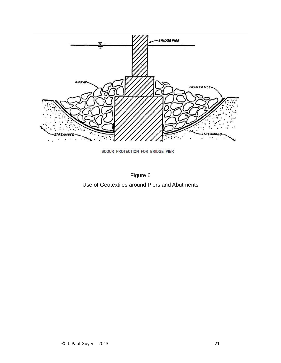

SCOUR PROTECTION FOR BRIDGE PIER

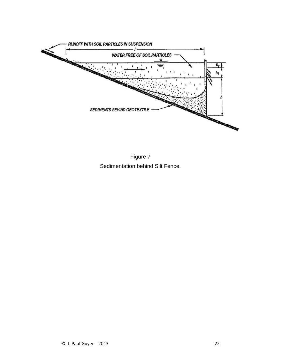

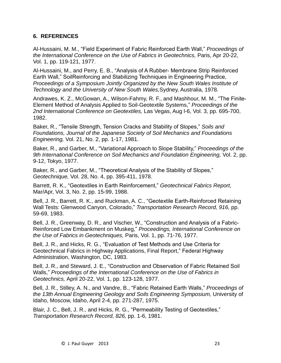#### **6. REFERENCES**

Al-Hussaini, M. M., "Field Experiment of Fabric Reinforced Earth Wall," Proceedings of the International Conference on the Use of Fabrics in Geotechnics, Paris, Apr 20-22, Vol. 1, pp. 119-121, 1977. *the International Conference on the Use of Fabrics in Geotechnics,* Paris, Apr 20-22,<br>Vol. 1, pp. 119-121, 1977.<br>Al-Hussaini, M., and Perry, E. B., "Analysis of A Rubber- Membrane Strip Reinforced

Vol. 1, pp. 119-121, 1977.<br>Al-Hussaini, M., and Perry, E. B., "Analysis of A Rubber- Membrane Strip Reinforced<br>Earth Wall," SoilReinforcing and Stabilizing Techniques in Engineering Practice, Proceedings of a Symposium Jointly Organized by the New South Wales Institute of Technology and the University of New South Wales,Sydney, Australia, 1978. *Proceedings of a Symposium Jointly Organized by the New South Wales Institute of*<br>Technology and the University of New South Wales,Sydney, Australia, 1978.<br>Andrawes, K. Z., McGowan, A., Wilson-Fahmy, R. F., and Mashhour,

*Technology and the University of New South Wales,*Sydney, Australia, 1978.<br>Andrawes, K. Z., McGowan, A., Wilson-Fahmy, R. F., and Mashhour, M. M., "The Finite-<br>Element Method of Analysis Applied to Soil-Geotextile Systems 2nd International Conference on Geotextiles, Las Vegas, Aug l-6, Vol. 3, pp. 695-700, 1982.

Baker, R., "Tensile Strength, Tension Cracks and Stability of Slopes," Soils and Foundations, Journal of the Japanese Society of Soil Mechanics and Foundations Engineering, Vol. 21, No. 2, pp. 1-17, 1981.

Baker, R., and Garber, M., "Variational Approach to Slope Stability," Proceedings of the 9th International Conference on Soil Mechanics and Foundation Engineering, Vol. 2, pp. 9-12, Tokyo, 1977.

Baker, R., and Garber, M., "Theoretical Analysis of the Stability of Slopes," Geotechnique, Vol. 28, No. 4, pp. 395-411, 1978.

Barrett, R. K., "Geotextiles in Earth Reinforcement," Geotechnical Fabrics Report, Mar/Apr, Vol. 3, No. 2, pp. 15-99, 1988. Barrett, R. K., "Geotextiles in Earth Reinforcement," *Geotechnical Fabrics Report,*<br>Mar/Apr, Vol. 3, No. 2, pp. 15-99, 1988.<br>Bell, J. R., Barrett, R. K., and Ruckman, A. C., "Geotextile Earth-Reinforced Retaining

Mar/Apr, Vol. 3, No. 2, pp. 15-99, 1988.<br>Bell, J. R., Barrett, R. K., and Ruckman, A. C., "Geotextile Earth-Reinforced Retaining<br>Wall Tests: Glenwood Canyon, Colorado," *Transportation Research Record, 916,* pp. 59-69, 1983. Wall Tests: Glenwood Canyon, Colorado," *Transportation Research Record, 916,* pp.<br>59-69, 1983.<br>Bell, J. R., Greenway, D. R., and Vischer, W., "Construction and Analysis of a Fabric-

59-69, 1983.<br>Bell, J. R., Greenway, D. R., and Vischer, W., "Construction and Analysis of a Fabric-<br>Reinforced Low Embankment on Muskeg," *Proceedings, International Conference on* the Use of Fabrics in Geotechniques, Paris, Vol. 1, pp. 71-76, 1977. Reinforced Low Embankment on Muskeg," *Proceedings, International Conference*<br>*the Use of Fabrics in Geotechniques,* Paris, Vol. 1, pp. 71-76, 1977.<br>Bell, J. R., and Hicks, R. G., "Evaluation of Test Methods and Use Criter

*the Use of Fabrics in Geotechniques,* Paris, Vol. 1, pp. 71-76, 1977.<br>Bell, J. R., and Hicks, R. G., "Evaluation of Test Methods and Use Criteria for<br>Geotechnical Fabrics in Highway Applications, Final Report," Federal Hi Administration, Washington, DC, 1983. Geotechnical Fabrics in Highway Applications, Final Report," Federal Highway<br>Administration, Washington, DC, 1983.<br>Bell, J. R., and Steward, J. E., "Construction and Observation of Fabric Retained Soil

Administration, Washington, DC, 1983.<br>Bell, J. R., and Steward, J. E., "Construction and Observation of Fabric Retained Soil<br>Walls," *Proceedings of the International Conference on the Use of Fabrics in* Geotechnics, April 20-22, Vol. 1, pp. 123-128, 1977. Walls," Proceedings of the International Conference on the Use of Fabrics in<br>Geotechnics, April 20-22, Vol. 1, pp. 123-128, 1977.<br>Bell, J. R., Stilley, A. N., and Vandre, B., "Fabric Retained Earth Walls," Proceedings of

the 13th Annual Engineering Geology and Soils Engineering Symposium, University of Idaho, Moscow, Idaho, April 2-4, pp. 271-287, 1975. ©*the 13th Annual Engineering Geology and Soils Engineering Symposium,* Universit<br>Idaho, Moscow, Idaho, April 2-4, pp. 271-287, 1975.<br>Blair, J. C., Bell, J. R., and Hicks, R. G., "Permeability Testing of Geotextiles,"

Transportation Research Record, 826, pp. 1-6, 1981. II, J. R., and Hicks, R. G., "Permeability Testing of Geotextiles,"<br>
Research Record, 826, pp. 1-6, 1981.<br>
J. Paul Guver 2013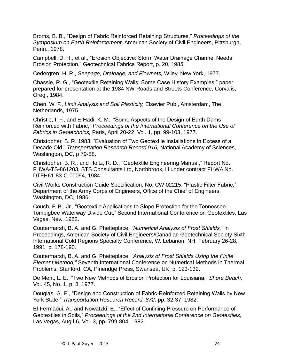Broms, B. B., "Design of Fabric Reinforced Retaining Structures," Proceedings of the Symposium on Earth Reinforcement, American Society of Civil Engineers, Pittsburgh, Penn., 1978. *Symposium on Earth Reinforcement,* American Society of Civil Engineers, Pittsburgh,<br>Penn., 1978.<br>Campbell, D. H., et al., "Erosion Objective: Storm Water Drainage Channel Needs

Penn., 1978.<br>Campbell, D. H., et al., "Erosion Objective: Storm Water Drainage (<br>Erosion Protection," Geotechnical Fabrics Report, p. 20, 1985. Erosion Protection," Geotechnical Fabrics Report, p. 20, 1985.<br>Cedergren, H. R., *Seepage, Drainage, and Flownets,* Wiley, New York, 1977.<br>Chassie, R. G., "Geotextile Retaining Walls: Some Case History Examples," paper

Cedergren, H. R., Seepage, Drainage, and Flownets, Wiley, New York, 1977.

prepared for presentation at the 1984 NW Roadsand Streets Conference, Corvalis, Oreg., 1984.

Chen, W. F., Limit Analysis and Soil Plasticity, Elsevier Pub., Amsterdam, The Netherlands, 1975.

Christie, I. F., and E-Hadi, K. M., "Some Aspects of the Design of Earth Dams Reinforced with Fabric," Proceedings of the International Conference on the Use of Fabrics in Geotechnics, Paris, April 20-22, Vol. 1, pp. 99-103, 1977.

Christopher, B. R. 1983. "Evaluation of Two Geotextile Installations in Excess of a Decade Old," Transportation Research Record 916, National Academy of Sciences, Washington, DC, p 79-88.

Christopher, B. R., and Holtz, R. D., "Geotextile Engineering Manual," Report No. FHWA-TS-861203, STS Consultants Ltd, Northbrook, Ill under contract FHWA No. DTFH61-83-C-00094, 1984.

Civil Works Construction Guide Specification, No. CW 02215, "Plastic Filter Fabric," Department of the Army Corps of Engineers, Office of the Chief of Engineers, Washington, DC, 1986.

Couch, F. B., Jr., "Geotextile Applications to Slope Protection for the Tennessee-Washington, DC, 1986.<br>Couch, F. B., Jr., "Geotextile Applications to Slope Protection for the Tennessee-<br>Tombigbee Waterway Divide Cut," Second International Conference on Geotextiles, Las Vegas, Nev., 1982. Tombigbee Waterway Divide Cut," Second International Conference on Geotextiles, Las<br>Vegas, Nev., 1982.<br>Coutermarsh, B. A. and G. Phetteplace, *"Numerical Analysis of Frost Shields,"* in

Proceedings, American Society of Civil Engineers/Canadian Geotechnical Society Sixth International Cold Regions Specialty Conference, W. Lebanon, NH, February 26-28, 1991, p. 178-190.

Coutermarsh, B. A. and G. Phetteplace, *ìAnalysis of Frost Shields Using the Finite* Element Method,*<sup>î</sup>* Seventh International Conference on Numerical Methods in Thermal Problems, Stanford, CA, Pineridge Press, Swansea, UK, p. 123-132.

De Ment, L. E., "Two New Methods of Erosion Protection for Louisiana," Shore Beach, Vol. 45, No. 1, p. 8, 1977. De Ment, L. E., "Two New Methods of Erosion Protection for Louisiana," *Shore Beach,*<br>Vol. 45, No. 1, p. 8, 1977.<br>Douglas, G. E., "Design and Construction of Fabric-Reinforced Retaining Walls by New

Vol. 45, No. 1, p. 8, 1977.<br>Douglas, G. E., "Design and Construction of Fabric-Reinforced Retaining<br>York State," *Transportation Research Record, 87*2*,* pp. 32-37, 1982. York State," Transportation Research Record, 872, pp. 32-37, 1982.<br>El-Fermaoui, A., and Nowatzki, E., "Effect of Confining Pressure on Performance of

York State," *Transportation Research Record, 87*2, pp. 32-37, 1982.<br>El-Fermaoui, A., and Nowatzki, E., "Effect of Confining Pressure on Performance of<br>Geotextiles in Soils," *Proceedings of the 2nd International Conferenc* EI-Fermaoui, A., and Nowatzki, E., "Effect of Confining Pressure on Performa<br>Geotextiles in Soils," *Proceedings of the 2nd International Conference on Ge*<br>Las Vegas, Aug I-6, Vol. 3, pp. 799-804, 1982.<br>© J. Paul Guver 201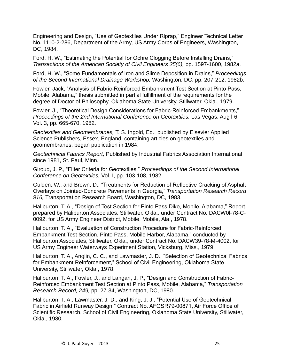Engineering and Design, "Use of Geotextiles Under Riprap," Engineer Technical Letter No. 1110-2-286, Department of the Army, US Army Corps of Engineers, Washington, DC, 1984.

Ford, H. W., "Estimating the Potential for Ochre Clogging Before Installing Drains," Transactions of the American Society of Civil Engineers 25(6), pp. 1597-1600, 1982a.

Ford, H. W., "Some Fundamentals of Iron and Slime Deposition in Drains," Proceedings of the Second International Drainage Workshop, Washington, DC, pp. 207-212, 1982b. Ford, H. W., "Some Fundamentals of Iron and Slime Deposition in Drains," *Proceedings*<br>*of the Second International Drainage Workshop,* Washington, DC, pp. 207-212, 1982b.<br>Fowler, Jack, "Analysis of Fabric-Reinforced Emban

Fowler, Jack, "Analysis of Fabric-Reinforced Embankment Test Section at Pinto Pass, Mobile, Alabama," thesis submitted in partial fulfillment of the requirements for the degree of Doctor of Philosophy, Oklahoma State University, Stillwater, Okla., 1979. Mobile, Alabama," thesis submitted in partial fulfillment of the requirements for the<br>degree of Doctor of Philosophy, Oklahoma State University, Stillwater, Okla., 1979.<br>Fowler, J., "Theoretical Design Considerations for F

Proceedings of the 2nd International Conference on Geotextiles, Las Vegas, Aug l-6, Vol. 3, pp. 665-670, 1982.

Geotextiles and Geomembranes, T. S. Ingold, Ed., published by Elsevier Applied Science Publishers, Essex, England, containing articles on geotextiles and geomembranes, began publication in 1984.

Geotechnical Fabrics Report, Published by Industrial Fabrics Association International since 1981, St. Paul, Minn.

Giroud, J. P., "Filter Criteria for Geotextiles," Proceedings of the Second International Conference on Geotextiles, Vol. I, pp. 103-108, 1982.

Gulden, W., and Brown, D., "Treatments for Reduction of Reflective Cracking of Asphalt Overlays on Jointed-Concrete Pavements in Georgia," Transportation Research Record 916, Transportation Research Board, Washington, DC, 1983.

Haliburton, T. A., "Design of Test Section for Pinto Pass Dike, Mobile, Alabama," Report prepared by Haliburton Associates, Stillwater, Okla., under Contract No. DACW0l-78-C- 0092, for US Army Engineer District, Mobile, Mobile, Ala., 1978.

Haliburton, T. A., "Evaluation of Construction Procedure for Fabric-Reinforced Embankment Test Section, Pinto Pass, Mobile Harbor, Alabama," conducted by Haliburton Associates, Stillwater, Okla., under Contract No. DACW39-78-M-4002, for US Army Engineer Waterways Experiment Station, Vicksburg, Miss., 1979. Haliburton Associates, Stillwater, Okla., under Contract No. DACW39-78-M-4002, for<br>US Army Engineer Waterways Experiment Station, Vicksburg, Miss., 1979.<br>Haliburton, T. A., Anglin, C. C., and Lawmaster, J. D., "Selection o

US Army Engineer Waterways Experiment Station, Vicksburg, Miss., 1979.<br>Haliburton, T. A., Anglin, C. C., and Lawmaster, J. D., "Selection of Geotechnical Fabrics<br>for Embankment Reinforcement," School of Civil Engineering, University, Stillwater, Okla., 1978. for Embankment Reinforcement," School of Civil Engineering, Oklahoma State<br>University, Stillwater, Okla., 1978.<br>Haliburton, T. A., Fowler, J., and Langan, J. P., "Design and Construction of Fabric-

University, Stillwater, Okla., 1978.<br>Haliburton, T. A., Fowler, J., and Langan, J. P., "Design and Construction of Fabric-<br>Reinforced Embankment Test Section at Pinto Pass, Mobile, Alabama," *Transportation* Research Record, 249, pp. 27-34, Washington, DC, 1980. Reinforced Embankment Test Section at Pinto Pass, Mobile, Alabama," Transportation<br>Research Record, 249, pp. 27-34, Washington, DC, 1980.<br>Haliburton, T. A., Lawmaster, J. D., and King, J. J., "Potential Use of Geotechnical

*Research Record, 249,* pp. 27-34, Washington, DC, 1980.<br>Haliburton, T. A., Lawmaster, J. D., and King, J. J., "Potential Use of Geotechnical<br>Fabric in Airfield Runway Design," Contract No. AFOSR79-00871, Air Force Office Scientific Research, School of Civil Engineering, Oklahoma State University, Stillwater, Fabric in Airfield Runway Design," Contract No. AFOSR79-00871, Air Force (<br>Scientific Research, School of Civil Engineering, Oklahoma State University,<br>Okla., 1980.<br>© J. Paul Guver 2013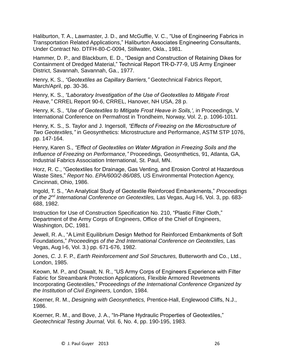Haliburton, T. A., Lawmaster, J. D., and McGuffie, V. C., ìUse of Engineering Fabrics in Haliburton, T. A., Lawmaster, J. D., and McGuffie, V. C., "Use of Engineering Fabrics in<br>Transportation Related Applications," Haliburton Associates Engineering Consultants, Under Contract No. DTFH-80-C-0094, Stillwater, Okla., 1981. Transportation Related Applications," Haliburton Associates Engineering Consultants,<br>Under Contract No. DTFH-80-C-0094, Stillwater, Okla., 1981.<br>Hammer, D. P., and Blackburn, E. D., "Design and Construction of Retaining Di

Under Contract No. DTFH-80-C-0094, Stillwater, Okla., 1981.<br>Hammer, D. P., and Blackburn, E. D., "Design and Construction of Retaining Dikes for<br>Containment of Dredged Material," Technical Report TR-D-77-9, US Army Enginee District, Savannah, Savannah, Ga., 1977. Containment of Dredged Material," Technical Report TR-D-77-9, US Army Engineer<br>District, Savannah, Savannah, Ga., 1977.<br>Henry, K. S., *"Geotextiles as Capillary Barriers,"* Geotechnical Fabrics Report,

March/April, pp. 30-36.

Henry, K. S., *ìLaboratory Investigation of the Use of Geotextiles to Mitigate Frost* Heave,*<sup>î</sup>* CRREL Report 90-6, CRREL, Hanover, NH USA, <sup>28</sup> p.

Henry, K. S., *ìUse of Geotextiles to Mitigate Frost Heave in Soils,ë,* in Proceedings, <sup>V</sup> International Conference on Permafrost in Trondheim, Norway, Vol. 2, p. 1096-1011. Henry, K. S., *"Use of Geotextiles to Mitigate Frost Heave in Soils,',* in Proceedings, V<br>International Conference on Permafrost in Trondheim, Norway, Vol. 2, p. 1096-1011.<br>Henry, K. S., S. Taylor and J. Ingersoll, *"Effec* 

International Conference on Permafrost in Trondheim, Norway, Vol. 2, p. 1096-1011.<br>Henry, K. S., S. Taylor and J. Ingersoll, *"Effects of Freezing on the Microstructure of*<br>*Two Geotextiles,"* in Geosynthetics: Microstruct pp. 147-164. *Two Geotextiles,"* in Geosynthetics: Microstructure and Performance, ASTM STP 1076, pp. 147-164.<br>pp. 147-164.<br>Henry, Karen S., *"Effect of Geotextiles on Water Migration in Freezing Soils and the* 

Influence of Freezing on Performance,*<sup>î</sup>* Proceedings, Geosynthetics, 91, Atlanta, GA, Industrial Fabrics Association International, St. Paul, MN.

Horz, R. C., "Geotextiles for Drainage, Gas Venting, and Erosion Control at Hazardous Waste Sites," Report No. EPA/600/2-86/085, US Environmental Protection Agency, Cincinnati, Ohio, 1986.

Ingold, T. S., "An Analytical Study of Geotextile Reinforced Embankments," Proceedings of the 2<sup>nd</sup> International Conference on Geotextiles, Las Vegas, Aug I-6, Vol. 3, pp. 683-688, 1982.

Instruction for Use of Construction Specification No. 210, "Plastic Filter Cloth," Department of the Army Corps of Engineers, Office of the Chief of Engineers, Washington, DC, 1981. Department of the Army Corps of Engineers, Office of the Chief of Engineers,<br>Washington, DC, 1981.<br>Jewell, R. A., "A Limit Equilibrium Design Method for Reinforced Embankments of Soft

Washington, DC, 1981.<br>Jewell, R. A., "A Limit Equilibrium Design Method for Reinforced Embankments of Soft<br>Foundations," *Proceedings of the 2nd International Conference on Geotextiles,* Las Vegas, Aug l-6, Vol. 3.) pp. 671-676, 1982.

Jones, C. J. F. P., Earth Reinforcement and Soil Structures, Butterworth and Co., Ltd., London, 1985.

Keown, M. P., and Oswalt, N. R., "US Army Corps of Engineers Experience with Filter Fabric for Streambank Protection Applications, Flexible Armored Revetments Incorporating Geotextiles," Proceedings of the International Conference Organized by the Institution of Civil Engineers, London, 1984.

Koerner, R. M., Designing with Geosynthetics, Prentice-Hall, Englewood Cliffs, N.J., 1986. Koerner, R. M., *Designing with Geosynthetics,* Prentice-Hall, Englewood Cliffs, N.J.,<br>1986.<br>Koerner, R. M., and Bove, J. A., "In-Plane Hydraulic Properties of Geotextiles,"

France, R. M., and Bove, J. A., "In-Plane Hydraulic Properties of Geotextiles<br>Geotechnical Testing Journal, Vol. 6, No. 4, pp. 190-195, 1983.<br>© J. Paul Guver 2013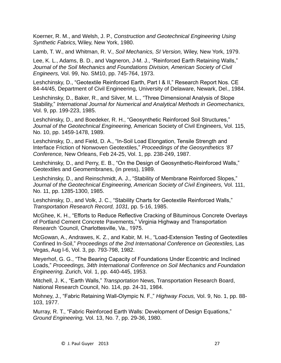Koerner, R. M., and Welsh, J. P., Construction and Geotechnical Engineering Using Koerner, R. M., and Welsh, J. P., *Construction*<br>*Synthetic Fabrics,'*Wiley, New York, 1980.

Lamb, T. W., and Whitman, R. V., Soil Mechanics, SI Version, Wiley, New York, 1979. Synthetic Fabrics, Wiley, New York, 1980.<br>Lamb, T. W., and Whitman, R. V., *Soil Mechanics, SI Version,* Wiley, New York, 1979<br>Lee, K. L., Adams, B. D., and Vagneron, J-M. J., "Reinforced Earth Retaining Walls,"

Journal of the Soil Mechanics and Foundations Division, American Society of Civil Engineers, Vol. 99, No. SM10, pp. 745-764, 1973.

Leshchinsky, D., "Geotextile Reinforced Earth, Part I & II," Research Report Nos. CE 84-44/45, Department of Civil Engineering, University of Delaware, Newark, Del., 1984. Leshchinsky, D., "Geotextile Reinforced Earth, Part I & II," Research Report Nos. CE<br>84-44/45, Department of Civil Engineering, University of Delaware, Newark, Del., 1984.<br>Leshchinsky, D., Baker, R., and Silver, M. L., "Th

Leshchinsky, D., Baker, R., and Silver, M. L., "Three Dimensional Analysis of Slope<br>Stability," International Journal for Numerical and Analytical Methods in Geomechanics, Vol. 9, pp. 199-223, 1985.

Leshchinsky, D., and Boedeker, R. H., "Geosynthetic Reinforced Soil Structures," Journal of the Geotechnical Engineering, American Society of Civil Engineers, Vol. 115, No. 10, pp. 1459-1478, 1989.

Leshchinsky, D., and Field, D. A., "In-Soil Load Elongation, Tensile Strength and Interface Friction of Nonwoven Geotextiles," Proceedings of the Geosynthetics '87 Conference, New Orleans, Feb 24-25, Vol. 1, pp. 238-249, 1987.

Leshchinsky, D., and Perry, E. B., "On the Design of Geosynthetic-Reinforced Walls," Geotextiles and Geomembranes, (in press), 1989.

Leshchinsky, D., and Reinschmidt, A. J., "Stability of Membrane Reinforced Slopes," Journal of the Geotechnical Engineering, American Society of Civil Engineers, Vol. 111, No. 11, pp. 1285-1300, 1985.

Leshchinsky, D., and Volk, J. C., "Stability Charts for Geotextile Reinforced Walls," Transportation Research Record, 1031, pp. 5-16, 1985. Leshchinsky, D., and Volk, J. C., "Stability Charts for Geotextile Reinforced Walls,"<br>*Transportation Research Record, 1031,* pp. 5-16, 1985.<br>McGhee, K. H., "Efforts to Reduce Reflective Cracking of Bituminous Concrete Ove

*Transportation Research Record, 1031,* pp. 5-16, 1985.<br>McGhee, K. H., "Efforts to Reduce Reflective Cracking of Bituminous Concrete Overlays<br>of Portland Cement Concrete Pavements," Virginia Highway and Transportation McGhee, K. H., "Efforts to Reduce Reflective Cra<mark>c</mark><br>of Portland Cement Concrete Pavements," Virginia<br>Research 'Council, Charlottesville, Va., 1975. of Portland Cement Concrete Pavements," Virginia Highway and Transportation<br>Research 'Council, Charlottesville, Va., 1975.<br>McGowan, A., Andrawes, K. Z., and Kabir, M. H., "Load-Extension Testing of Geotextiles

Confined In-Soil," Proceedings of the 2nd International Conference on Geotextiles, Las Vegas, Aug l-6, Vol. 3, pp. 793-798, 1982. Confined In-Soil," *Proceedings of the 2nd International Conference on Geotextiles,* Las<br>Vegas, Aug I-6, Vol. 3, pp. 793-798, 1982.<br>Meyerhof, G. G., "The Bearing Capacity of Foundations Under Eccentric and Inclined

Vegas, Aug I-6, Vol. 3, pp. 793-798, 1982.<br>Meyerhof, G. G., "The Bearing Capacity of Foundations Under Eccentric and Inclined<br>Loads," *Proceedings, 34th International Conference on Soil Mechanics and Foundation* Engineering, Zurich, Vol. 1, pp. 440-445, 1953. Loads," Proceedings, 34th International Conference on Soil Mechanics and Foundation<br>Engineering, Zurich, Vol. 1, pp. 440-445, 1953.<br>Mitchell, J. K., "Earth Walls," *Transportation* News, Transportation Research Board,

National Research Council, No. 114, pp. 24-31, 1984.

Mohney, J., "Fabric Retaining Wall-Olympic N. F.," Highway Focus, Vol. 9, No. 1, pp. 88-103, 1977. Mohney, J., "Fabric Retaining Wall-Olympic N. F.," *Highway Focus,* Vol. 9, No. 1, pp. 88<br>103, 1977.<br>Murray, R. T., "Fabric Reinforced Earth Walls: Development of Design Equations,"

nus, 1977.<br>Murray, R. T., "Fabric Reinforced Earth Walls: Development of Design Equati<br>*Ground Engineering,* Vol. 13, No. 7, pp. 29-36, 1980.<br>© J. Paul Guver 2013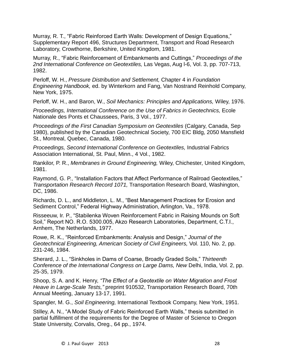Murray, R. T., "Fabric Reinforced Earth Walls: Development of Design Equations," Supplementary Report 496, Structures Department, Transport and Road Research Laboratory, Crowthorne, Berkshire, United Kingdom, 1981.

Murray, R., "Fabric Reinforcement of Embankments and Cuttings," Proceedings of the 2nd International Conference on Geotextiles, Las Vegas, Aug l-6, Vol. 3, pp. 707-713, 1982.

Perloff, W. H., Pressure Distribution and Settlement, Chapter 4 in Foundation Engineering Handbook, ed. by Winterkorn and Fang, Van Nostrand Reinhold Company, New York, 1975.

Perloff, W. H., and Baron, W., Soil Mechanics: Principles and Applications, Wiley, 1976.

Proceedings, International Conference on the Use of Fabrics in Geotechnics, Ecole Nationale des Ponts et Chaussees, Paris, 3 Vol., 1977.

Proceedings of the First Canadian Symposium on Geotextiles (Calgary, Canada, Sep 1980), published by the Canadian Geotechnical Society, 700 EIC Bldg, 2050 Mansfield St., Montreal, Quebec, Canada, 1980.

Proceedings, Second International Conference on Geotextiles, Industrial Fabrics Association International, St. Paul, Minn., 4 Vol., 1982.

Rankilor, P. R., Membranes in Ground Engineering, Wiley, Chichester, United Kingdom, 1981.

Raymond, G. P., "Installation Factors that Affect Performance of Railroad Geotextiles," Transportation Research Record 1071, Transportation Research Board, Washington, DC, 1986.

Richards, D. L., and Middleton, L. M., "Best Management Practices for Erosion and Sediment Control," Federal Highway Administration, Arlington, Va., 1978.

Risseeuw, Ir. P., "Stabilenka Woven Reinforcement Fabric in Raising Mounds on Soft Soil," Report NO. R.O. 5300.005, Akzo Research Laboratories, Department, C.T.I., Arnhem, The Netherlands, 1977.

Rowe, R. K., "Reinforced Embankments: Analysis and Design," Journal of the Geotechnical Engineering, American Society of Civil Engineers, Vol. 110, No. 2, pp. 231-246, 1984.

Sherard, J. L., "Sinkholes in Dams of Coarse, Broadly Graded Soils," Thirteenth *Conference of the International Congress on Large Dams, New* Delhi, India, Vol. 2, pp.<br>25-35, 1979.<br>Shoop, S. A. and K. Henry, "T*he Effect of a Geotextile on Water Migration and Frost* 25-35, 1979.

Shoop, S. A. and K. Henry, *"The Effect of a Geotextile on Water Migration and Frost*<br>Heave in Large-Scale Tests," preprint 910532, Transportation Research Board, 70th Annual Meeting, January 13-17, 1991.

Spangler, M. G., Soil Engineering, International Textbook Company, New York, 1951. Armaan Meeting, canaary 19-17, 1991.<br>Spangler, M. G., *Soil Engineering,* International Textbook Company, New York, 1951.<br>Stilley, A. N., "A Model Study of Fabric Reinforced Earth Walls," thesis submitted in

partial fulfillment of the requirements for the Degree of Master of Science to Oregon Spangler, M. G., Soli Engineering, International Textbook Company, New Yor<br>Stilley, A. N., "A Model Study of Fabric Reinforced Earth Walls," thesis submit<br>partial fulfillment of the requirements for the Degree of Master of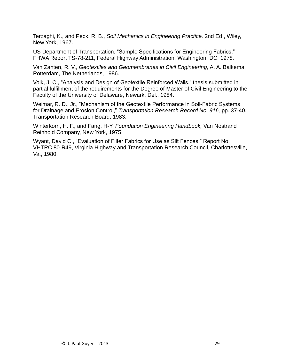Terzaghi, K., and Peck, R. B., Soil Mechanics in Engineering Practice, 2nd Ed., Wiley, New York, 1967.

US Department of Transportation, "Sample Specifications for Engineering Fabrics," FHWA Report TS-78-211, Federal Highway Administration, Washington, DC, 1978.

Van Zanten, R. V., Geotextiles and Geomembranes in Civil Engineering, A. A. Balkema, Rotterdam, The Netherlands, 1986.

Volk, J. C., "Analysis and Design of Geotextile Reinforced Walls," thesis submitted in partial fulfillment of the requirements for the Degree of Master of Civil Engineering to the Faculty of the University of Delaware, Newark, Del., 1984.

Weimar, R. D., Jr., "Mechanism of the Geotextile Performance in Soil-Fabric Systems for Drainage and Erosion Control," Transportation Research Record No. 916, pp. 37-40, Transportation Research Board, 1983.

Winterkorn, H. F., and Fang, H-Y, Foundation Engineering Handbook, Van Nostrand Reinhold Company, New York, 1975.

Wyant, David C., "Evaluation of Filter Fabrics for Use as Silt Fences," Report No. VHTRC 80-R49, Virginia Highway and Transportation Research Council, Charlottesville, Va., 1980.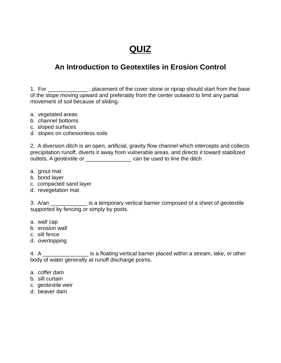## **QUIZ**

## **An Introduction to Geotextiles in Erosion Control**

1. For \_\_\_\_\_\_\_\_\_\_\_\_\_\_, placement of the cover stone or riprap should start from the base of the slope moving upward and preferably from the center outward to limit any partial movement of soil because of sliding.

- a. vegetated areas
- b. channel bottoms
- c. sloped surfaces
- d. slopes on cohesionless soils

2. A diversion ditch is an open, artificial, gravity flow channel which intercepts and collects precipitation runoff, diverts it away from vulnerable areas, and directs it toward stabilized outlets. A geotextile or **with the set of the set of the contract** can be used to line the ditch.

- a. grout mat
- b. bond layer
- c. compacted sand layer
- d. revegetation mat

3. A/an \_\_\_\_\_\_\_\_\_\_\_\_ is a temporary vertical barrier composed of a sheet of geotextile supported by fencing or simply by posts.

- a. wall cap
- b. erosion wall
- c. silt fence
- d. overtopping

4. A \_\_\_\_\_\_\_\_\_\_\_\_\_\_\_\_\_\_ is a floating vertical barrier placed within a stream, lake, or other body of water generally at runoff discharge points.

- a. coffer dam
- b. silt curtain
- c. geotextile weir
- d. beaver dam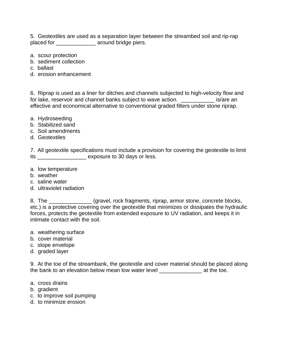5. Geotextiles are used as a separation layer between the streambed soil and rip-rap placed for \_\_\_\_\_\_\_\_\_\_\_\_\_ around bridge piers.

- a. scour protection
- b. sediment collection
- c. ballast
- d. erosion enhancement

6. Riprap is used as a liner for ditches and channels subjected to high-velocity flow and for lake, reservoir and channel banks subject to wave action. \_\_\_\_\_\_\_\_\_\_\_ is/are an effective and economical alternative to conventional graded filters under stone riprap.

- a. Hydroseeding
- b. Stabilized sand
- c. Soil amendments
- d. Geotextiles

7. All geotextile specifications must include a provision for covering the geotextile to limit its \_\_\_\_\_\_\_\_\_\_\_\_\_\_\_\_ exposure to 30 days or less.

- a. low temperature
- b. weather
- c. saline water
- d. ultraviolet radiation

8. The \_\_\_\_\_\_\_\_\_\_\_\_\_\_ (gravel, rock fragments, riprap, armor stone, concrete blocks, etc.) is a protective covering over the geotextile that minimizes or dissipates the hydraulic forces, protects the geotextile from extended exposure to UV radiation, and keeps it in intimate contact with the soil.<br>a. weathering surface

- 
- b. cover material
- c. slope envelope
- d. graded layer

9. At the toe of the streambank, the geotextile and cover material should be placed along the bank to an elevation below mean low water level example at the toe.

- a. cross drains
- b. gradient
- c. to improve soil pumping
- d. to minimize erosion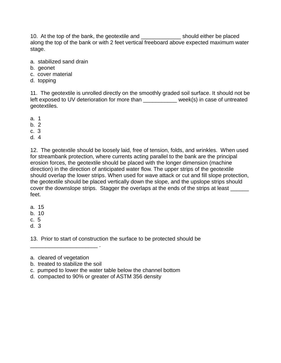10. At the top of the bank, the geotextile and \_\_\_\_\_\_\_\_\_\_\_\_\_ should either be placed along the top of the bank or with 2 feet vertical freeboard above expected maximum water stage.

- a. stabilized sand drain
- b. geonet
- c. cover material
- d. topping

11. The geotextile is unrolled directly on the smoothly graded soil surface. It should not be left exposed to UV deterioration for more than \_\_\_\_\_\_\_\_\_\_\_\_\_ week(s) in case of untreated geotextiles.

a. 1

- b. 2
- c. 3
- d. 4

12. The geotextile should be loosely laid, free of tension, folds, and wrinkles. When used for streambank protection, where currents acting parallel to the bank are the principal erosion forces, the geotextile should be placed with the longer dimension (machine direction) in the direction of anticipated water flow. The upper strips of the geotextile should overlap the lower strips. When used for wave attack or cut and fill slope protection, the geotextile should be placed vertically down the slope, and the upslope strips should cover the downslope strips. Stagger the overlaps at the ends of the strips at least feet.

- a. 15
- b. 10
- c. 5
- d. 3

13. Prior to start of construction the surface to be protected should be

- a. cleared of vegetation
- b. treated to stabilize the soil

\_\_\_\_\_\_\_\_\_\_\_\_\_\_\_\_\_\_\_\_\_\_ .

- c. pumped to lower the water table below the channel bottom
- d. compacted to 90% or greater of ASTM 356 density